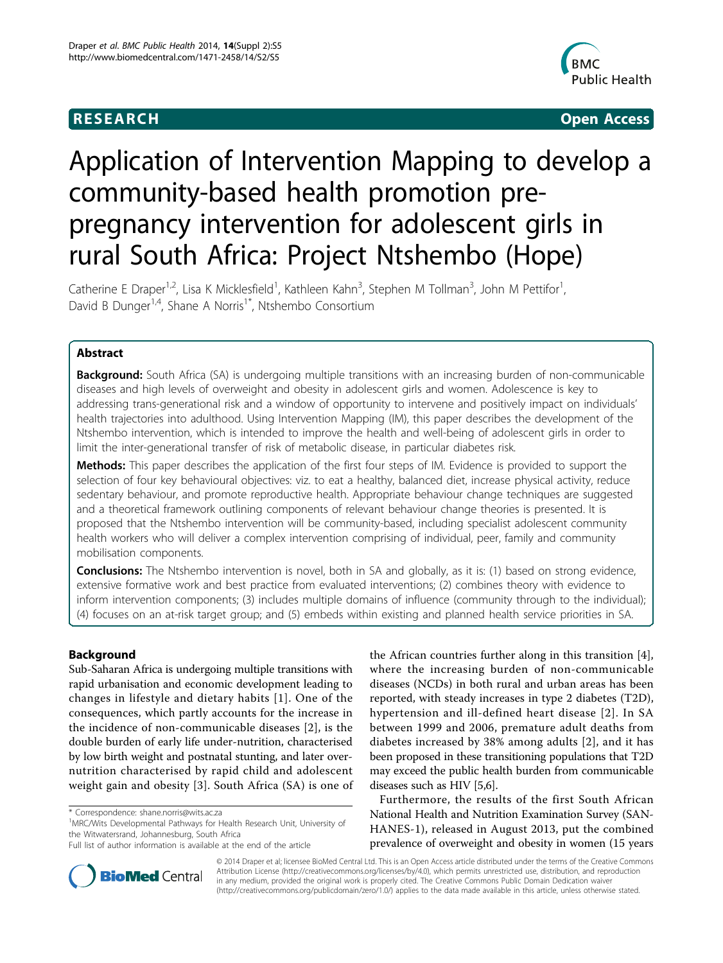# **RESEARCH CHRISTIAN CONSUMING CONTRACT CONSUMING CONSUMING CONSUMING CONSUMING CONSUMING CONSUMING CONSUMING CO**



# Application of Intervention Mapping to develop a community-based health promotion prepregnancy intervention for adolescent girls in rural South Africa: Project Ntshembo (Hope)

Catherine E Draper<sup>1,2</sup>, Lisa K Micklesfield<sup>1</sup>, Kathleen Kahn<sup>3</sup>, Stephen M Tollman<sup>3</sup>, John M Pettifor<sup>1</sup> , David B Dunger<sup>1,4</sup>, Shane A Norris<sup>1\*</sup>, Ntshembo Consortium

# Abstract

**Background:** South Africa (SA) is undergoing multiple transitions with an increasing burden of non-communicable diseases and high levels of overweight and obesity in adolescent girls and women. Adolescence is key to addressing trans-generational risk and a window of opportunity to intervene and positively impact on individuals' health trajectories into adulthood. Using Intervention Mapping (IM), this paper describes the development of the Ntshembo intervention, which is intended to improve the health and well-being of adolescent girls in order to limit the inter-generational transfer of risk of metabolic disease, in particular diabetes risk.

**Methods:** This paper describes the application of the first four steps of IM. Evidence is provided to support the selection of four key behavioural objectives: viz. to eat a healthy, balanced diet, increase physical activity, reduce sedentary behaviour, and promote reproductive health. Appropriate behaviour change techniques are suggested and a theoretical framework outlining components of relevant behaviour change theories is presented. It is proposed that the Ntshembo intervention will be community-based, including specialist adolescent community health workers who will deliver a complex intervention comprising of individual, peer, family and community mobilisation components.

**Conclusions:** The Ntshembo intervention is novel, both in SA and globally, as it is: (1) based on strong evidence, extensive formative work and best practice from evaluated interventions; (2) combines theory with evidence to inform intervention components; (3) includes multiple domains of influence (community through to the individual); (4) focuses on an at-risk target group; and (5) embeds within existing and planned health service priorities in SA.

# Background

Sub-Saharan Africa is undergoing multiple transitions with rapid urbanisation and economic development leading to changes in lifestyle and dietary habits [[1](#page-10-0)]. One of the consequences, which partly accounts for the increase in the incidence of non-communicable diseases [[2\]](#page-10-0), is the double burden of early life under-nutrition, characterised by low birth weight and postnatal stunting, and later overnutrition characterised by rapid child and adolescent weight gain and obesity [[3\]](#page-11-0). South Africa (SA) is one of

<sup>1</sup>MRC/Wits Developmental Pathways for Health Research Unit, University of the Witwatersrand, Johannesburg, South Africa

the African countries further along in this transition [\[4](#page-11-0)], where the increasing burden of non-communicable diseases (NCDs) in both rural and urban areas has been reported, with steady increases in type 2 diabetes (T2D), hypertension and ill-defined heart disease [[2\]](#page-10-0). In SA between 1999 and 2006, premature adult deaths from diabetes increased by 38% among adults [[2\]](#page-10-0), and it has been proposed in these transitioning populations that T2D may exceed the public health burden from communicable diseases such as HIV [[5,6](#page-11-0)].

Furthermore, the results of the first South African National Health and Nutrition Examination Survey (SAN-HANES-1), released in August 2013, put the combined prevalence of overweight and obesity in women (15 years



© 2014 Draper et al; licensee BioMed Central Ltd. This is an Open Access article distributed under the terms of the Creative Commons Attribution License [\(http://creativecommons.org/licenses/by/4.0](http://creativecommons.org/licenses/by/4.0)), which permits unrestricted use, distribution, and reproduction in any medium, provided the original work is properly cited. The Creative Commons Public Domain Dedication waiver [\(http://creativecommons.org/publicdomain/zero/1.0/](http://�creativecommons.org/publicdomain/zero/1.0/)) applies to the data made available in this article, unless otherwise stated.

<sup>\*</sup> Correspondence: [shane.norris@wits.ac.za](mailto:shane.norris@wits.ac.za)

Full list of author information is available at the end of the article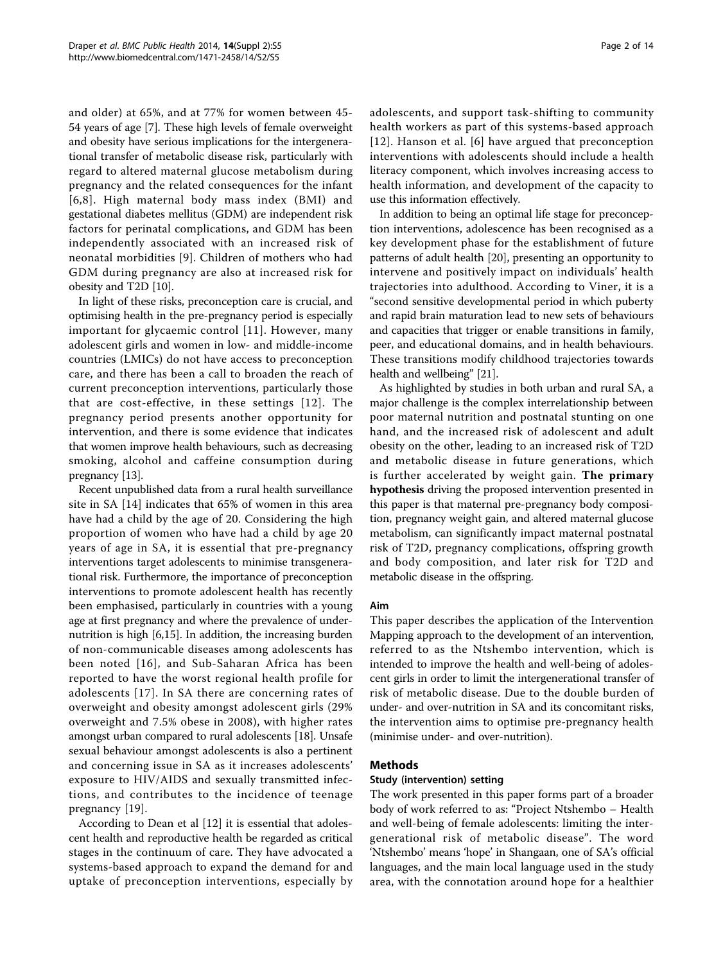and older) at 65%, and at 77% for women between 45- 54 years of age [\[7](#page-11-0)]. These high levels of female overweight and obesity have serious implications for the intergenerational transfer of metabolic disease risk, particularly with regard to altered maternal glucose metabolism during pregnancy and the related consequences for the infant [[6](#page-11-0),[8](#page-11-0)]. High maternal body mass index (BMI) and gestational diabetes mellitus (GDM) are independent risk factors for perinatal complications, and GDM has been independently associated with an increased risk of neonatal morbidities [[9\]](#page-11-0). Children of mothers who had GDM during pregnancy are also at increased risk for obesity and T2D [[10](#page-11-0)].

In light of these risks, preconception care is crucial, and optimising health in the pre-pregnancy period is especially important for glycaemic control [\[11\]](#page-11-0). However, many adolescent girls and women in low- and middle-income countries (LMICs) do not have access to preconception care, and there has been a call to broaden the reach of current preconception interventions, particularly those that are cost-effective, in these settings [\[12\]](#page-11-0). The pregnancy period presents another opportunity for intervention, and there is some evidence that indicates that women improve health behaviours, such as decreasing smoking, alcohol and caffeine consumption during pregnancy [\[13](#page-11-0)].

Recent unpublished data from a rural health surveillance site in SA [[14\]](#page-11-0) indicates that 65% of women in this area have had a child by the age of 20. Considering the high proportion of women who have had a child by age 20 years of age in SA, it is essential that pre-pregnancy interventions target adolescents to minimise transgenerational risk. Furthermore, the importance of preconception interventions to promote adolescent health has recently been emphasised, particularly in countries with a young age at first pregnancy and where the prevalence of undernutrition is high [\[6,15\]](#page-11-0). In addition, the increasing burden of non-communicable diseases among adolescents has been noted [[16](#page-11-0)], and Sub-Saharan Africa has been reported to have the worst regional health profile for adolescents [[17\]](#page-11-0). In SA there are concerning rates of overweight and obesity amongst adolescent girls (29% overweight and 7.5% obese in 2008), with higher rates amongst urban compared to rural adolescents [[18](#page-11-0)]. Unsafe sexual behaviour amongst adolescents is also a pertinent and concerning issue in SA as it increases adolescents' exposure to HIV/AIDS and sexually transmitted infections, and contributes to the incidence of teenage pregnancy [[19\]](#page-11-0).

According to Dean et al [[12\]](#page-11-0) it is essential that adolescent health and reproductive health be regarded as critical stages in the continuum of care. They have advocated a systems-based approach to expand the demand for and uptake of preconception interventions, especially by adolescents, and support task-shifting to community health workers as part of this systems-based approach [[12](#page-11-0)]. Hanson et al. [[6\]](#page-11-0) have argued that preconception interventions with adolescents should include a health literacy component, which involves increasing access to health information, and development of the capacity to use this information effectively.

In addition to being an optimal life stage for preconception interventions, adolescence has been recognised as a key development phase for the establishment of future patterns of adult health [[20](#page-11-0)], presenting an opportunity to intervene and positively impact on individuals' health trajectories into adulthood. According to Viner, it is a "second sensitive developmental period in which puberty and rapid brain maturation lead to new sets of behaviours and capacities that trigger or enable transitions in family, peer, and educational domains, and in health behaviours. These transitions modify childhood trajectories towards health and wellbeing" [\[21\]](#page-11-0).

As highlighted by studies in both urban and rural SA, a major challenge is the complex interrelationship between poor maternal nutrition and postnatal stunting on one hand, and the increased risk of adolescent and adult obesity on the other, leading to an increased risk of T2D and metabolic disease in future generations, which is further accelerated by weight gain. The primary hypothesis driving the proposed intervention presented in this paper is that maternal pre-pregnancy body composition, pregnancy weight gain, and altered maternal glucose metabolism, can significantly impact maternal postnatal risk of T2D, pregnancy complications, offspring growth and body composition, and later risk for T2D and metabolic disease in the offspring.

### Aim

This paper describes the application of the Intervention Mapping approach to the development of an intervention, referred to as the Ntshembo intervention, which is intended to improve the health and well-being of adolescent girls in order to limit the intergenerational transfer of risk of metabolic disease. Due to the double burden of under- and over-nutrition in SA and its concomitant risks, the intervention aims to optimise pre-pregnancy health (minimise under- and over-nutrition).

### Methods

## Study (intervention) setting

The work presented in this paper forms part of a broader body of work referred to as: "Project Ntshembo – Health and well-being of female adolescents: limiting the intergenerational risk of metabolic disease". The word 'Ntshembo' means 'hope' in Shangaan, one of SA's official languages, and the main local language used in the study area, with the connotation around hope for a healthier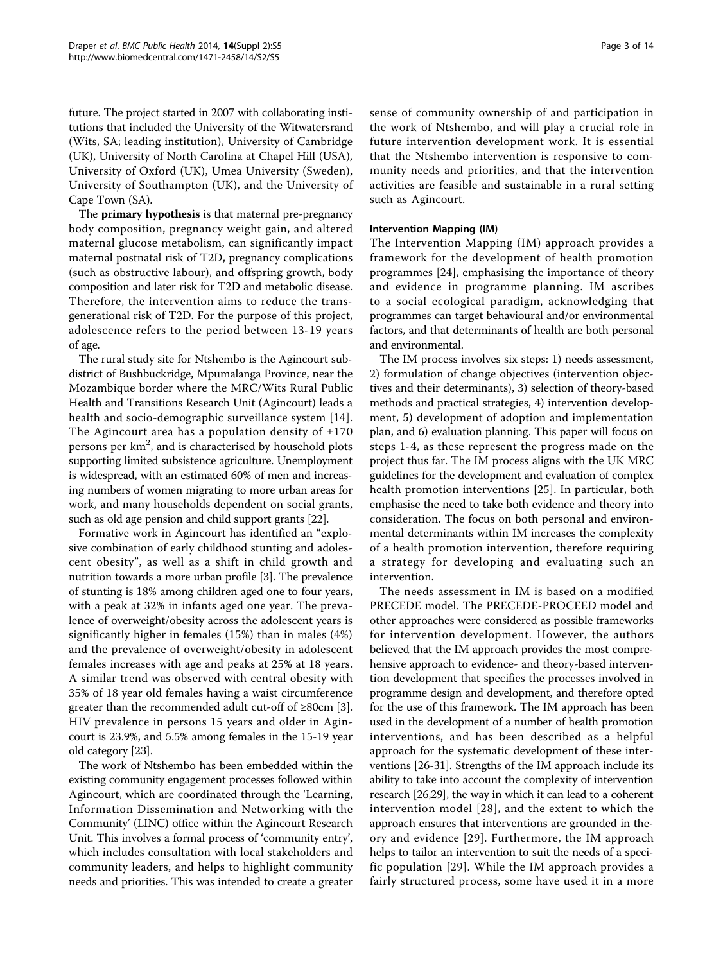future. The project started in 2007 with collaborating institutions that included the University of the Witwatersrand (Wits, SA; leading institution), University of Cambridge (UK), University of North Carolina at Chapel Hill (USA), University of Oxford (UK), Umea University (Sweden), University of Southampton (UK), and the University of Cape Town (SA).

The **primary hypothesis** is that maternal pre-pregnancy body composition, pregnancy weight gain, and altered maternal glucose metabolism, can significantly impact maternal postnatal risk of T2D, pregnancy complications (such as obstructive labour), and offspring growth, body composition and later risk for T2D and metabolic disease. Therefore, the intervention aims to reduce the transgenerational risk of T2D. For the purpose of this project, adolescence refers to the period between 13-19 years of age.

The rural study site for Ntshembo is the Agincourt subdistrict of Bushbuckridge, Mpumalanga Province, near the Mozambique border where the MRC/Wits Rural Public Health and Transitions Research Unit (Agincourt) leads a health and socio-demographic surveillance system [[14](#page-11-0)]. The Agincourt area has a population density of  $\pm 170$ persons per km $^2$ , and is characterised by household plots supporting limited subsistence agriculture. Unemployment is widespread, with an estimated 60% of men and increasing numbers of women migrating to more urban areas for work, and many households dependent on social grants, such as old age pension and child support grants [\[22](#page-11-0)].

Formative work in Agincourt has identified an "explosive combination of early childhood stunting and adolescent obesity", as well as a shift in child growth and nutrition towards a more urban profile [\[3\]](#page-11-0). The prevalence of stunting is 18% among children aged one to four years, with a peak at 32% in infants aged one year. The prevalence of overweight/obesity across the adolescent years is significantly higher in females (15%) than in males (4%) and the prevalence of overweight/obesity in adolescent females increases with age and peaks at 25% at 18 years. A similar trend was observed with central obesity with 35% of 18 year old females having a waist circumference greater than the recommended adult cut-off of ≥80cm [[3](#page-11-0)]. HIV prevalence in persons 15 years and older in Agincourt is 23.9%, and 5.5% among females in the 15-19 year old category [\[23\]](#page-11-0).

The work of Ntshembo has been embedded within the existing community engagement processes followed within Agincourt, which are coordinated through the 'Learning, Information Dissemination and Networking with the Community' (LINC) office within the Agincourt Research Unit. This involves a formal process of 'community entry', which includes consultation with local stakeholders and community leaders, and helps to highlight community needs and priorities. This was intended to create a greater

sense of community ownership of and participation in the work of Ntshembo, and will play a crucial role in future intervention development work. It is essential that the Ntshembo intervention is responsive to community needs and priorities, and that the intervention activities are feasible and sustainable in a rural setting such as Agincourt.

## Intervention Mapping (IM)

The Intervention Mapping (IM) approach provides a framework for the development of health promotion programmes [[24\]](#page-11-0), emphasising the importance of theory and evidence in programme planning. IM ascribes to a social ecological paradigm, acknowledging that programmes can target behavioural and/or environmental factors, and that determinants of health are both personal and environmental.

The IM process involves six steps: 1) needs assessment, 2) formulation of change objectives (intervention objectives and their determinants), 3) selection of theory-based methods and practical strategies, 4) intervention development, 5) development of adoption and implementation plan, and 6) evaluation planning. This paper will focus on steps 1-4, as these represent the progress made on the project thus far. The IM process aligns with the UK MRC guidelines for the development and evaluation of complex health promotion interventions [[25\]](#page-11-0). In particular, both emphasise the need to take both evidence and theory into consideration. The focus on both personal and environmental determinants within IM increases the complexity of a health promotion intervention, therefore requiring a strategy for developing and evaluating such an intervention.

The needs assessment in IM is based on a modified PRECEDE model. The PRECEDE-PROCEED model and other approaches were considered as possible frameworks for intervention development. However, the authors believed that the IM approach provides the most comprehensive approach to evidence- and theory-based intervention development that specifies the processes involved in programme design and development, and therefore opted for the use of this framework. The IM approach has been used in the development of a number of health promotion interventions, and has been described as a helpful approach for the systematic development of these interventions [\[26](#page-11-0)-[31](#page-11-0)]. Strengths of the IM approach include its ability to take into account the complexity of intervention research [[26,29\]](#page-11-0), the way in which it can lead to a coherent intervention model [[28\]](#page-11-0), and the extent to which the approach ensures that interventions are grounded in theory and evidence [[29\]](#page-11-0). Furthermore, the IM approach helps to tailor an intervention to suit the needs of a specific population [\[29\]](#page-11-0). While the IM approach provides a fairly structured process, some have used it in a more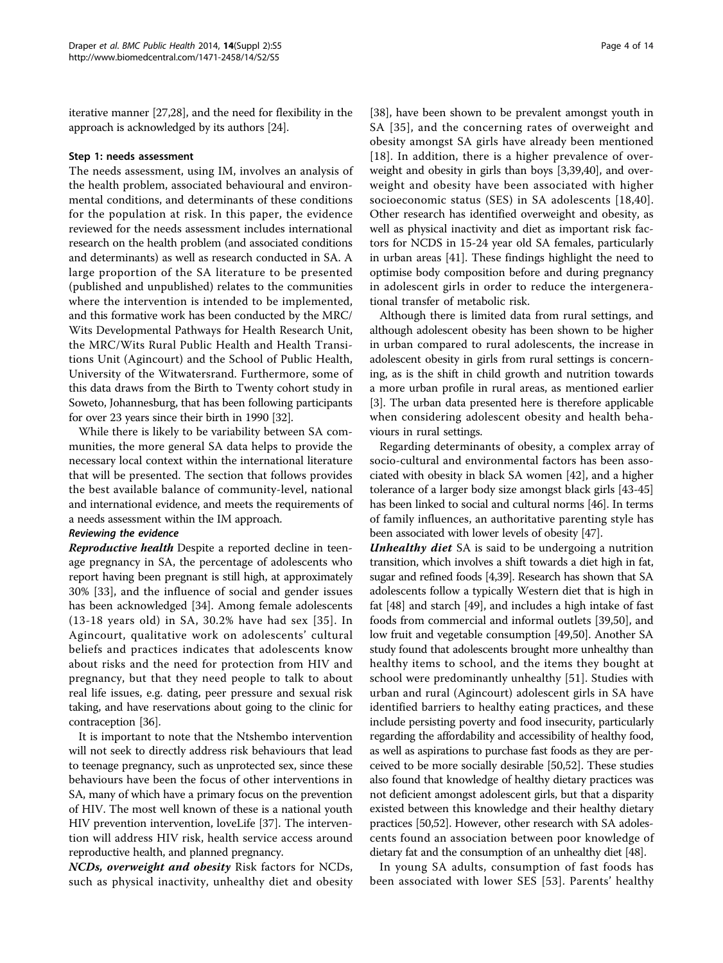iterative manner [[27,28](#page-11-0)], and the need for flexibility in the approach is acknowledged by its authors [\[24](#page-11-0)].

#### Step 1: needs assessment

The needs assessment, using IM, involves an analysis of the health problem, associated behavioural and environmental conditions, and determinants of these conditions for the population at risk. In this paper, the evidence reviewed for the needs assessment includes international research on the health problem (and associated conditions and determinants) as well as research conducted in SA. A large proportion of the SA literature to be presented (published and unpublished) relates to the communities where the intervention is intended to be implemented, and this formative work has been conducted by the MRC/ Wits Developmental Pathways for Health Research Unit, the MRC/Wits Rural Public Health and Health Transitions Unit (Agincourt) and the School of Public Health, University of the Witwatersrand. Furthermore, some of this data draws from the Birth to Twenty cohort study in Soweto, Johannesburg, that has been following participants for over 23 years since their birth in 1990 [\[32\]](#page-11-0).

While there is likely to be variability between SA communities, the more general SA data helps to provide the necessary local context within the international literature that will be presented. The section that follows provides the best available balance of community-level, national and international evidence, and meets the requirements of a needs assessment within the IM approach.

### Reviewing the evidence

Reproductive health Despite a reported decline in teenage pregnancy in SA, the percentage of adolescents who report having been pregnant is still high, at approximately 30% [\[33](#page-11-0)], and the influence of social and gender issues has been acknowledged [[34\]](#page-11-0). Among female adolescents (13-18 years old) in SA, 30.2% have had sex [[35\]](#page-11-0). In Agincourt, qualitative work on adolescents' cultural beliefs and practices indicates that adolescents know about risks and the need for protection from HIV and pregnancy, but that they need people to talk to about real life issues, e.g. dating, peer pressure and sexual risk taking, and have reservations about going to the clinic for contraception [[36](#page-11-0)].

It is important to note that the Ntshembo intervention will not seek to directly address risk behaviours that lead to teenage pregnancy, such as unprotected sex, since these behaviours have been the focus of other interventions in SA, many of which have a primary focus on the prevention of HIV. The most well known of these is a national youth HIV prevention intervention, loveLife [\[37](#page-11-0)]. The intervention will address HIV risk, health service access around reproductive health, and planned pregnancy.

NCDs, overweight and obesity Risk factors for NCDs, such as physical inactivity, unhealthy diet and obesity

[[38\]](#page-11-0), have been shown to be prevalent amongst youth in SA [[35\]](#page-11-0), and the concerning rates of overweight and obesity amongst SA girls have already been mentioned [[18](#page-11-0)]. In addition, there is a higher prevalence of overweight and obesity in girls than boys [\[3,39,40\]](#page-11-0), and overweight and obesity have been associated with higher socioeconomic status (SES) in SA adolescents [[18](#page-11-0),[40](#page-11-0)]. Other research has identified overweight and obesity, as well as physical inactivity and diet as important risk factors for NCDS in 15-24 year old SA females, particularly in urban areas [\[41\]](#page-11-0). These findings highlight the need to optimise body composition before and during pregnancy in adolescent girls in order to reduce the intergenerational transfer of metabolic risk.

Although there is limited data from rural settings, and although adolescent obesity has been shown to be higher in urban compared to rural adolescents, the increase in adolescent obesity in girls from rural settings is concerning, as is the shift in child growth and nutrition towards a more urban profile in rural areas, as mentioned earlier [[3\]](#page-11-0). The urban data presented here is therefore applicable when considering adolescent obesity and health behaviours in rural settings.

Regarding determinants of obesity, a complex array of socio-cultural and environmental factors has been associated with obesity in black SA women [[42](#page-11-0)], and a higher tolerance of a larger body size amongst black girls [[43](#page-12-0)-[45](#page-12-0)] has been linked to social and cultural norms [\[46\]](#page-12-0). In terms of family influences, an authoritative parenting style has been associated with lower levels of obesity [\[47\]](#page-12-0).

**Unhealthy diet** SA is said to be undergoing a nutrition transition, which involves a shift towards a diet high in fat, sugar and refined foods [\[4,39](#page-11-0)]. Research has shown that SA adolescents follow a typically Western diet that is high in fat [\[48\]](#page-12-0) and starch [[49](#page-12-0)], and includes a high intake of fast foods from commercial and informal outlets [\[39](#page-11-0)[,50](#page-12-0)], and low fruit and vegetable consumption [\[49,50\]](#page-12-0). Another SA study found that adolescents brought more unhealthy than healthy items to school, and the items they bought at school were predominantly unhealthy [[51\]](#page-12-0). Studies with urban and rural (Agincourt) adolescent girls in SA have identified barriers to healthy eating practices, and these include persisting poverty and food insecurity, particularly regarding the affordability and accessibility of healthy food, as well as aspirations to purchase fast foods as they are perceived to be more socially desirable [[50,52\]](#page-12-0). These studies also found that knowledge of healthy dietary practices was not deficient amongst adolescent girls, but that a disparity existed between this knowledge and their healthy dietary practices [[50,52\]](#page-12-0). However, other research with SA adolescents found an association between poor knowledge of dietary fat and the consumption of an unhealthy diet [\[48\]](#page-12-0).

In young SA adults, consumption of fast foods has been associated with lower SES [[53\]](#page-12-0). Parents' healthy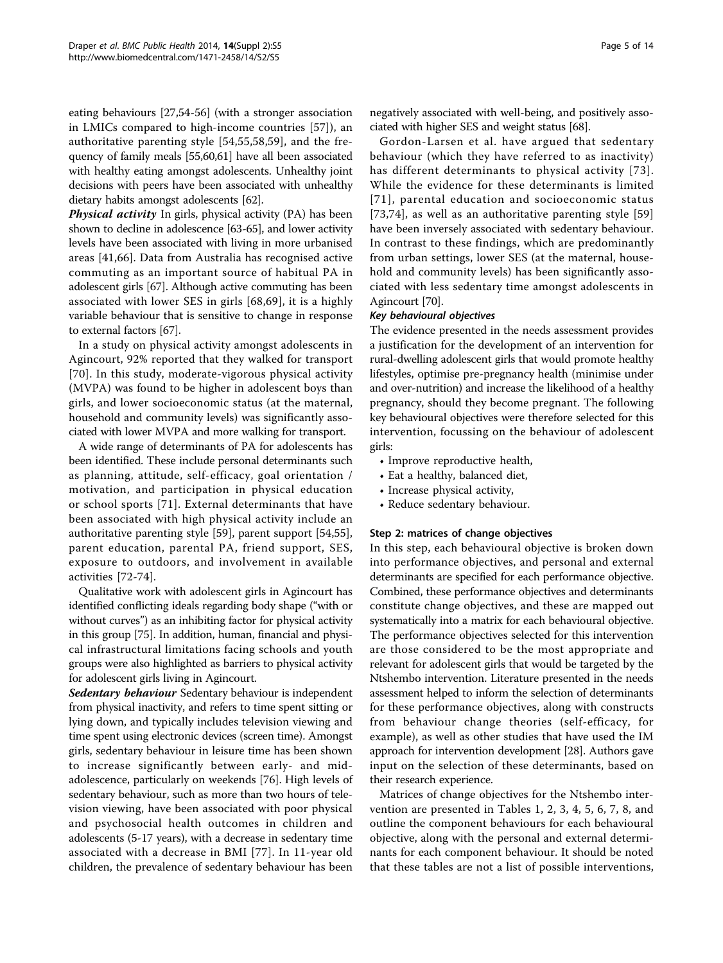eating behaviours [\[27,](#page-11-0)[54-56](#page-12-0)] (with a stronger association in LMICs compared to high-income countries [\[57](#page-12-0)]), an authoritative parenting style [\[54](#page-12-0),[55,58](#page-12-0),[59\]](#page-12-0), and the frequency of family meals [[55,60,61](#page-12-0)] have all been associated with healthy eating amongst adolescents. Unhealthy joint decisions with peers have been associated with unhealthy dietary habits amongst adolescents [[62](#page-12-0)].

**Physical activity** In girls, physical activity (PA) has been shown to decline in adolescence [[63-65\]](#page-12-0), and lower activity levels have been associated with living in more urbanised areas [\[41](#page-11-0),[66\]](#page-12-0). Data from Australia has recognised active commuting as an important source of habitual PA in adolescent girls [[67](#page-12-0)]. Although active commuting has been associated with lower SES in girls [[68,69](#page-12-0)], it is a highly variable behaviour that is sensitive to change in response to external factors [\[67](#page-12-0)].

In a study on physical activity amongst adolescents in Agincourt, 92% reported that they walked for transport [[70](#page-12-0)]. In this study, moderate-vigorous physical activity (MVPA) was found to be higher in adolescent boys than girls, and lower socioeconomic status (at the maternal, household and community levels) was significantly associated with lower MVPA and more walking for transport.

A wide range of determinants of PA for adolescents has been identified. These include personal determinants such as planning, attitude, self-efficacy, goal orientation / motivation, and participation in physical education or school sports [[71](#page-12-0)]. External determinants that have been associated with high physical activity include an authoritative parenting style [\[59](#page-12-0)], parent support [\[54,55](#page-12-0)], parent education, parental PA, friend support, SES, exposure to outdoors, and involvement in available activities [[72-74](#page-12-0)].

Qualitative work with adolescent girls in Agincourt has identified conflicting ideals regarding body shape ("with or without curves") as an inhibiting factor for physical activity in this group [[75](#page-12-0)]. In addition, human, financial and physical infrastructural limitations facing schools and youth groups were also highlighted as barriers to physical activity for adolescent girls living in Agincourt.

Sedentary behaviour Sedentary behaviour is independent from physical inactivity, and refers to time spent sitting or lying down, and typically includes television viewing and time spent using electronic devices (screen time). Amongst girls, sedentary behaviour in leisure time has been shown to increase significantly between early- and midadolescence, particularly on weekends [\[76\]](#page-12-0). High levels of sedentary behaviour, such as more than two hours of television viewing, have been associated with poor physical and psychosocial health outcomes in children and adolescents (5-17 years), with a decrease in sedentary time associated with a decrease in BMI [\[77\]](#page-12-0). In 11-year old children, the prevalence of sedentary behaviour has been negatively associated with well-being, and positively associated with higher SES and weight status [\[68\]](#page-12-0).

Gordon-Larsen et al. have argued that sedentary behaviour (which they have referred to as inactivity) has different determinants to physical activity [[73\]](#page-12-0). While the evidence for these determinants is limited [[71](#page-12-0)], parental education and socioeconomic status [[73,74\]](#page-12-0), as well as an authoritative parenting style [\[59](#page-12-0)] have been inversely associated with sedentary behaviour. In contrast to these findings, which are predominantly from urban settings, lower SES (at the maternal, household and community levels) has been significantly associated with less sedentary time amongst adolescents in Agincourt [[70](#page-12-0)].

### Key behavioural objectives

The evidence presented in the needs assessment provides a justification for the development of an intervention for rural-dwelling adolescent girls that would promote healthy lifestyles, optimise pre-pregnancy health (minimise under and over-nutrition) and increase the likelihood of a healthy pregnancy, should they become pregnant. The following key behavioural objectives were therefore selected for this intervention, focussing on the behaviour of adolescent girls:

- Improve reproductive health,
- Eat a healthy, balanced diet,
- Increase physical activity,
- Reduce sedentary behaviour.

### Step 2: matrices of change objectives

In this step, each behavioural objective is broken down into performance objectives, and personal and external determinants are specified for each performance objective. Combined, these performance objectives and determinants constitute change objectives, and these are mapped out systematically into a matrix for each behavioural objective. The performance objectives selected for this intervention are those considered to be the most appropriate and relevant for adolescent girls that would be targeted by the Ntshembo intervention. Literature presented in the needs assessment helped to inform the selection of determinants for these performance objectives, along with constructs from behaviour change theories (self-efficacy, for example), as well as other studies that have used the IM approach for intervention development [[28](#page-11-0)]. Authors gave input on the selection of these determinants, based on their research experience.

Matrices of change objectives for the Ntshembo intervention are presented in Tables [1, 2, 3](#page-5-0), [4, 5](#page-6-0), [6](#page-6-0), [7, 8,](#page-7-0) and outline the component behaviours for each behavioural objective, along with the personal and external determinants for each component behaviour. It should be noted that these tables are not a list of possible interventions,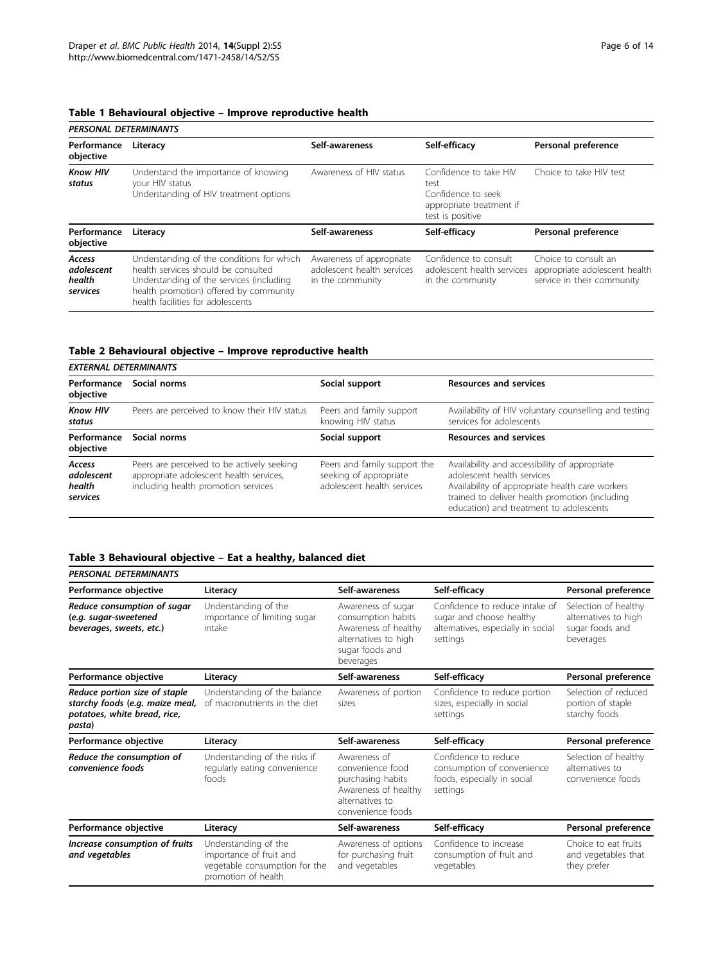# <span id="page-5-0"></span>Table 1 Behavioural objective – Improve reproductive health

| <b>PERSONAL DETERMINANTS</b>               |                                                                                                                                                                                                             |                                                                            |                                                                                                      |                                                                                     |
|--------------------------------------------|-------------------------------------------------------------------------------------------------------------------------------------------------------------------------------------------------------------|----------------------------------------------------------------------------|------------------------------------------------------------------------------------------------------|-------------------------------------------------------------------------------------|
| Performance<br>objective                   | Literacy                                                                                                                                                                                                    | Self-awareness                                                             | Self-efficacy                                                                                        | Personal preference                                                                 |
| <b>Know HIV</b><br>status                  | Understand the importance of knowing<br>your HIV status<br>Understanding of HIV treatment options                                                                                                           | Awareness of HIV status                                                    | Confidence to take HIV<br>test<br>Confidence to seek<br>appropriate treatment if<br>test is positive | Choice to take HIV test                                                             |
| Performance<br>objective                   | Literacy                                                                                                                                                                                                    | Self-awareness                                                             | Self-efficacy                                                                                        | Personal preference                                                                 |
| Access<br>adolescent<br>health<br>services | Understanding of the conditions for which<br>health services should be consulted<br>Understanding of the services (including<br>health promotion) offered by community<br>health facilities for adolescents | Awareness of appropriate<br>adolescent health services<br>in the community | Confidence to consult<br>adolescent health services<br>in the community                              | Choice to consult an<br>appropriate adolescent health<br>service in their community |

# Table 2 Behavioural objective – Improve reproductive health

| <b>EXTERNAL DETERMINANTS</b>               |                                                                                                                              |                                                                                      |                                                                                                                                                                                                                             |  |  |
|--------------------------------------------|------------------------------------------------------------------------------------------------------------------------------|--------------------------------------------------------------------------------------|-----------------------------------------------------------------------------------------------------------------------------------------------------------------------------------------------------------------------------|--|--|
| Performance<br>objective                   | Social norms                                                                                                                 | Social support                                                                       | <b>Resources and services</b>                                                                                                                                                                                               |  |  |
| <b>Know HIV</b><br>status                  | Peers are perceived to know their HIV status                                                                                 | Peers and family support<br>knowing HIV status                                       | Availability of HIV voluntary counselling and testing<br>services for adolescents                                                                                                                                           |  |  |
| Performance<br>objective                   | Social norms                                                                                                                 | Social support                                                                       | <b>Resources and services</b>                                                                                                                                                                                               |  |  |
| Access<br>adolescent<br>health<br>services | Peers are perceived to be actively seeking<br>appropriate adolescent health services,<br>including health promotion services | Peers and family support the<br>seeking of appropriate<br>adolescent health services | Availability and accessibility of appropriate<br>adolescent health services<br>Availability of appropriate health care workers<br>trained to deliver health promotion (including<br>education) and treatment to adolescents |  |  |

# Table 3 Behavioural objective – Eat a healthy, balanced diet

| PERSONAL DETERMINANTS                                                                                      |                                                                                                         |                                                                                                                          |                                                                                                              |                                                                              |
|------------------------------------------------------------------------------------------------------------|---------------------------------------------------------------------------------------------------------|--------------------------------------------------------------------------------------------------------------------------|--------------------------------------------------------------------------------------------------------------|------------------------------------------------------------------------------|
| Performance objective                                                                                      | Literacy                                                                                                | Self-awareness                                                                                                           | Self-efficacy                                                                                                | Personal preference                                                          |
| Reduce consumption of sugar<br>(e.g. sugar-sweetened<br>beverages, sweets, etc.)                           | Understanding of the<br>importance of limiting sugar<br>intake                                          | Awareness of sugar<br>consumption habits<br>Awareness of healthy<br>alternatives to high<br>sugar foods and<br>beverages | Confidence to reduce intake of<br>sugar and choose healthy<br>alternatives, especially in social<br>settings | Selection of healthy<br>alternatives to high<br>sugar foods and<br>beverages |
| Performance objective                                                                                      | Literacy                                                                                                | Self-awareness                                                                                                           | Self-efficacy                                                                                                | Personal preference                                                          |
| Reduce portion size of staple<br>starchy foods (e.g. maize meal,<br>potatoes, white bread, rice,<br>pasta) | Understanding of the balance<br>of macronutrients in the diet                                           | Awareness of portion<br>sizes                                                                                            | Confidence to reduce portion<br>sizes, especially in social<br>settings                                      | Selection of reduced<br>portion of staple<br>starchy foods                   |
| Performance objective                                                                                      | Literacy                                                                                                | Self-awareness                                                                                                           | Self-efficacy                                                                                                | Personal preference                                                          |
| Reduce the consumption of<br>convenience foods                                                             | Understanding of the risks if<br>regularly eating convenience<br>foods                                  | Awareness of<br>convenience food<br>purchasing habits<br>Awareness of healthy<br>alternatives to<br>convenience foods    | Confidence to reduce<br>consumption of convenience<br>foods, especially in social<br>settings                | Selection of healthy<br>alternatives to<br>convenience foods                 |
| Performance objective                                                                                      | Literacy                                                                                                | Self-awareness                                                                                                           | Self-efficacy                                                                                                | Personal preference                                                          |
| Increase consumption of fruits<br>and vegetables                                                           | Understanding of the<br>importance of fruit and<br>vegetable consumption for the<br>promotion of health | Awareness of options<br>for purchasing fruit<br>and vegetables                                                           | Confidence to increase<br>consumption of fruit and<br>vegetables                                             | Choice to eat fruits<br>and vegetables that<br>they prefer                   |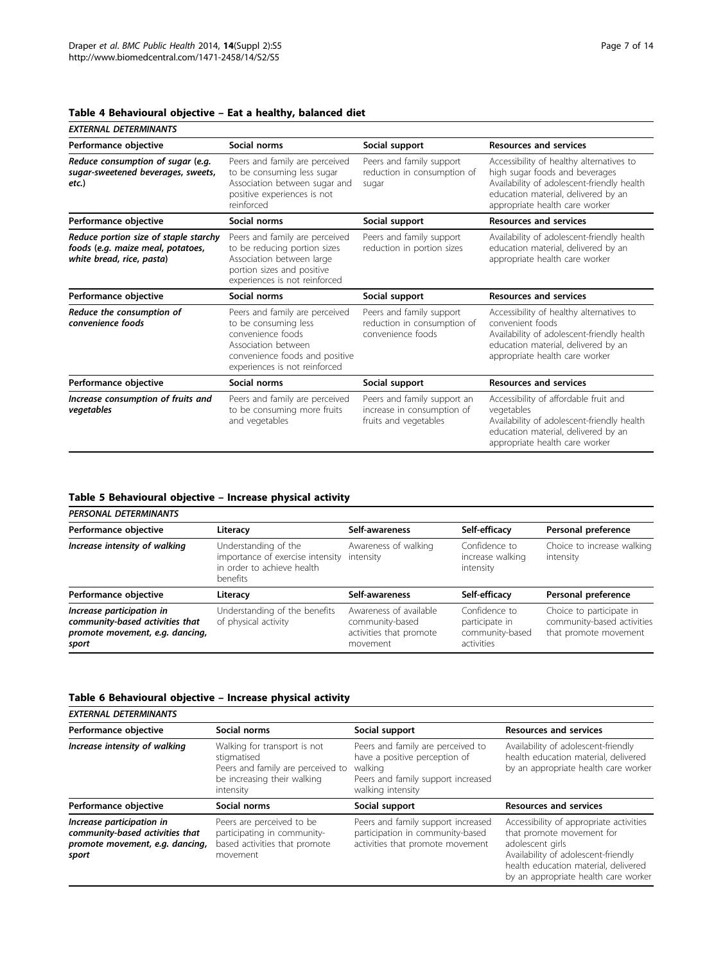## <span id="page-6-0"></span>Table 4 Behavioural objective – Eat a healthy, balanced diet

| <b>EXTERNAL DETERMINANTS</b>                                                                            |                                                                                                                                                                       |                                                                                    |                                                                                                                                                                                                   |
|---------------------------------------------------------------------------------------------------------|-----------------------------------------------------------------------------------------------------------------------------------------------------------------------|------------------------------------------------------------------------------------|---------------------------------------------------------------------------------------------------------------------------------------------------------------------------------------------------|
| Performance objective                                                                                   | Social norms                                                                                                                                                          | Social support                                                                     | <b>Resources and services</b>                                                                                                                                                                     |
| Reduce consumption of sugar (e.g.<br>sugar-sweetened beverages, sweets,<br>etc.)                        | Peers and family are perceived<br>to be consuming less sugar<br>Association between sugar and<br>positive experiences is not<br>reinforced                            | Peers and family support<br>reduction in consumption of<br>sugar                   | Accessibility of healthy alternatives to<br>high sugar foods and beverages<br>Availability of adolescent-friendly health<br>education material, delivered by an<br>appropriate health care worker |
| Performance objective                                                                                   | Social norms                                                                                                                                                          | Social support                                                                     | <b>Resources and services</b>                                                                                                                                                                     |
| Reduce portion size of staple starchy<br>foods (e.g. maize meal, potatoes,<br>white bread, rice, pasta) | Peers and family are perceived<br>to be reducing portion sizes<br>Association between large<br>portion sizes and positive<br>experiences is not reinforced            | Peers and family support<br>reduction in portion sizes                             | Availability of adolescent-friendly health<br>education material, delivered by an<br>appropriate health care worker                                                                               |
| Performance objective                                                                                   | Social norms                                                                                                                                                          | Social support                                                                     | <b>Resources and services</b>                                                                                                                                                                     |
| Reduce the consumption of<br>convenience foods                                                          | Peers and family are perceived<br>to be consuming less<br>convenience foods<br>Association between<br>convenience foods and positive<br>experiences is not reinforced | Peers and family support<br>reduction in consumption of<br>convenience foods       | Accessibility of healthy alternatives to<br>convenient foods<br>Availability of adolescent-friendly health<br>education material, delivered by an<br>appropriate health care worker               |
| Performance objective                                                                                   | Social norms                                                                                                                                                          | Social support                                                                     | <b>Resources and services</b>                                                                                                                                                                     |
| Increase consumption of fruits and<br>vegetables                                                        | Peers and family are perceived<br>to be consuming more fruits<br>and vegetables                                                                                       | Peers and family support an<br>increase in consumption of<br>fruits and vegetables | Accessibility of affordable fruit and<br>vegetables<br>Availability of adolescent-friendly health<br>education material, delivered by an<br>appropriate health care worker                        |

# Table 5 Behavioural objective – Increase physical activity

| PERSONAL DETERMINANTS                                                                                    |                                                                                                    |                                                                                  |                                                                  |                                                                                 |  |
|----------------------------------------------------------------------------------------------------------|----------------------------------------------------------------------------------------------------|----------------------------------------------------------------------------------|------------------------------------------------------------------|---------------------------------------------------------------------------------|--|
| Performance objective                                                                                    | Literacy                                                                                           | Self-awareness                                                                   | Self-efficacy                                                    | Personal preference                                                             |  |
| Increase intensity of walking                                                                            | Understanding of the<br>importance of exercise intensity<br>in order to achieve health<br>benefits | Awareness of walking<br>intensity                                                | Confidence to<br>increase walking<br>intensity                   | Choice to increase walking<br>intensity                                         |  |
| Performance objective                                                                                    | Literacy                                                                                           | Self-awareness                                                                   | Self-efficacy                                                    | Personal preference                                                             |  |
| Increase participation in<br>community-based activities that<br>promote movement, e.g. dancing,<br>sport | Understanding of the benefits<br>of physical activity                                              | Awareness of available<br>community-based<br>activities that promote<br>movement | Confidence to<br>participate in<br>community-based<br>activities | Choice to participate in<br>community-based activities<br>that promote movement |  |

## Table 6 Behavioural objective – Increase physical activity

| <b>EXTERNAL DETERMINANTS</b>                                                                             |                                                                                                                              |                                                                                                                                          |                                                                                                                                                                                                                 |
|----------------------------------------------------------------------------------------------------------|------------------------------------------------------------------------------------------------------------------------------|------------------------------------------------------------------------------------------------------------------------------------------|-----------------------------------------------------------------------------------------------------------------------------------------------------------------------------------------------------------------|
| Performance objective                                                                                    | Social norms                                                                                                                 | Social support                                                                                                                           | <b>Resources and services</b>                                                                                                                                                                                   |
| Increase intensity of walking                                                                            | Walking for transport is not<br>stigmatised<br>Peers and family are perceived to<br>be increasing their walking<br>intensity | Peers and family are perceived to<br>have a positive perception of<br>walking<br>Peers and family support increased<br>walking intensity | Availability of adolescent-friendly<br>health education material, delivered<br>by an appropriate health care worker                                                                                             |
| Performance objective                                                                                    | Social norms                                                                                                                 | Social support                                                                                                                           | <b>Resources and services</b>                                                                                                                                                                                   |
| Increase participation in<br>community-based activities that<br>promote movement, e.g. dancing,<br>sport | Peers are perceived to be<br>participating in community-<br>based activities that promote<br>movement                        | Peers and family support increased<br>participation in community-based<br>activities that promote movement                               | Accessibility of appropriate activities<br>that promote movement for<br>adolescent girls<br>Availability of adolescent-friendly<br>health education material, delivered<br>by an appropriate health care worker |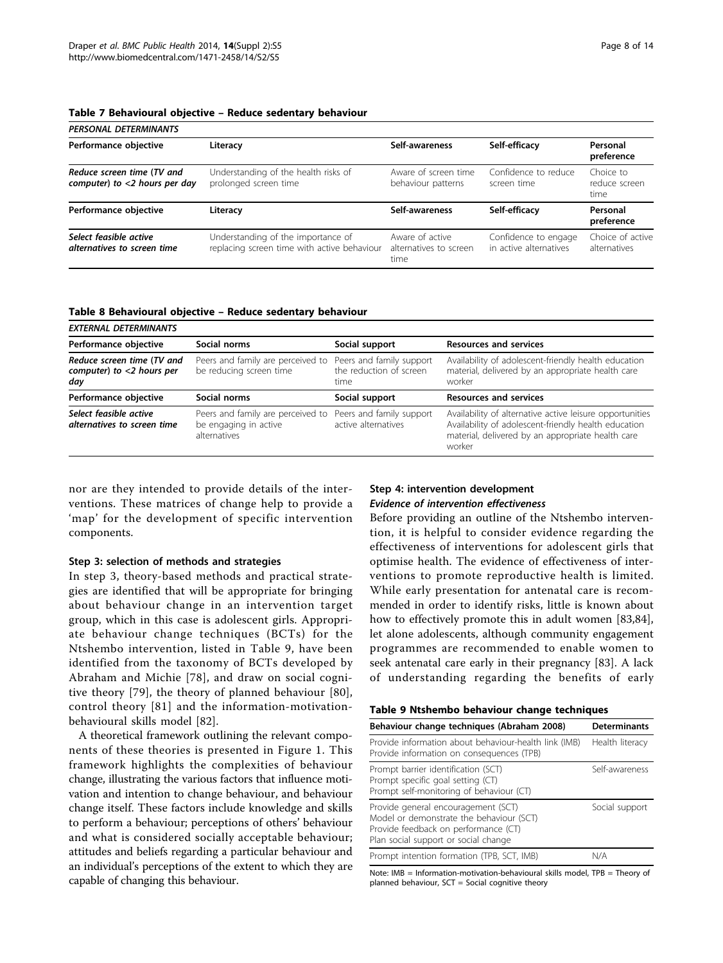| PERSONAL DETERMINANTS                                          |                                                                                   |                                                   |                                                |                                    |
|----------------------------------------------------------------|-----------------------------------------------------------------------------------|---------------------------------------------------|------------------------------------------------|------------------------------------|
| Performance objective                                          | Literacy                                                                          | Self-awareness                                    | Self-efficacy                                  | Personal<br>preference             |
| Reduce screen time (TV and<br>computer) to $<$ 2 hours per day | Understanding of the health risks of<br>prolonged screen time                     | Aware of screen time<br>behaviour patterns        | Confidence to reduce<br>screen time            | Choice to<br>reduce screen<br>time |
| Performance objective                                          | Literacy                                                                          | Self-awareness                                    | Self-efficacy                                  | Personal<br>preference             |
| Select feasible active<br>alternatives to screen time          | Understanding of the importance of<br>replacing screen time with active behaviour | Aware of active<br>alternatives to screen<br>time | Confidence to engage<br>in active alternatives | Choice of active<br>alternatives   |

#### <span id="page-7-0"></span>Table 7 Behavioural objective – Reduce sedentary behaviour

#### Table 8 Behavioural objective – Reduce sedentary behaviour

| <b>EXTERNAL DETERMINANTS</b>                                      |                                                                                                     |                                 |                                                                                                                                                                                 |
|-------------------------------------------------------------------|-----------------------------------------------------------------------------------------------------|---------------------------------|---------------------------------------------------------------------------------------------------------------------------------------------------------------------------------|
| Performance objective                                             | Social norms                                                                                        | Social support                  | <b>Resources and services</b>                                                                                                                                                   |
| Reduce screen time (TV and<br>computer) to $<$ 2 hours per<br>day | Peers and family are perceived to Peers and family support<br>be reducing screen time               | the reduction of screen<br>time | Availability of adolescent-friendly health education<br>material, delivered by an appropriate health care<br>worker                                                             |
| Performance objective                                             | Social norms                                                                                        | Social support                  | <b>Resources and services</b>                                                                                                                                                   |
| Select feasible active<br>alternatives to screen time             | Peers and family are perceived to Peers and family support<br>be engaging in active<br>alternatives | active alternatives             | Availability of alternative active leisure opportunities<br>Availability of adolescent-friendly health education<br>material, delivered by an appropriate health care<br>worker |

nor are they intended to provide details of the interventions. These matrices of change help to provide a 'map' for the development of specific intervention components.

#### Step 3: selection of methods and strategies

In step 3, theory-based methods and practical strategies are identified that will be appropriate for bringing about behaviour change in an intervention target group, which in this case is adolescent girls. Appropriate behaviour change techniques (BCTs) for the Ntshembo intervention, listed in Table 9, have been identified from the taxonomy of BCTs developed by Abraham and Michie [[78\]](#page-12-0), and draw on social cognitive theory [[79\]](#page-12-0), the theory of planned behaviour [[80](#page-12-0)], control theory [[81](#page-12-0)] and the information-motivationbehavioural skills model [[82\]](#page-12-0).

A theoretical framework outlining the relevant components of these theories is presented in Figure [1](#page-8-0). This framework highlights the complexities of behaviour change, illustrating the various factors that influence motivation and intention to change behaviour, and behaviour change itself. These factors include knowledge and skills to perform a behaviour; perceptions of others' behaviour and what is considered socially acceptable behaviour; attitudes and beliefs regarding a particular behaviour and an individual's perceptions of the extent to which they are capable of changing this behaviour.

## Step 4: intervention development Evidence of intervention effectiveness

Before providing an outline of the Ntshembo intervention, it is helpful to consider evidence regarding the effectiveness of interventions for adolescent girls that optimise health. The evidence of effectiveness of interventions to promote reproductive health is limited. While early presentation for antenatal care is recommended in order to identify risks, little is known about how to effectively promote this in adult women [\[83,84](#page-12-0)], let alone adolescents, although community engagement programmes are recommended to enable women to seek antenatal care early in their pregnancy [\[83](#page-12-0)]. A lack of understanding regarding the benefits of early

|  | Table 9 Ntshembo behaviour change techniques |  |  |  |  |
|--|----------------------------------------------|--|--|--|--|
|--|----------------------------------------------|--|--|--|--|

| Behaviour change techniques (Abraham 2008)                                                                                                                      | <b>Determinants</b> |
|-----------------------------------------------------------------------------------------------------------------------------------------------------------------|---------------------|
| Provide information about behaviour-health link (IMB)<br>Provide information on consequences (TPB)                                                              | Health literacy     |
| Prompt barrier identification (SCT)<br>Prompt specific goal setting (CT)<br>Prompt self-monitoring of behaviour (CT)                                            | Self-awareness      |
| Provide general encouragement (SCT)<br>Model or demonstrate the behaviour (SCT)<br>Provide feedback on performance (CT)<br>Plan social support or social change | Social support      |
| Prompt intention formation (TPB, SCT, IMB)                                                                                                                      | N/A                 |

Note: IMB = Information-motivation-behavioural skills model, TPB = Theory of planned behaviour, SCT = Social cognitive theory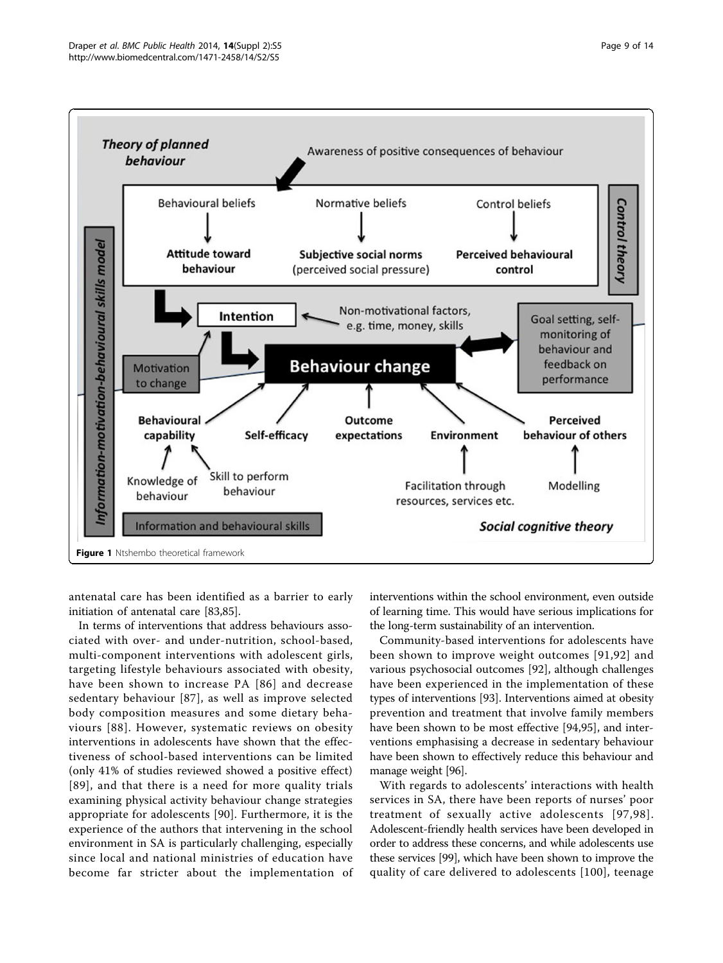<span id="page-8-0"></span>

antenatal care has been identified as a barrier to early initiation of antenatal care [\[83,85](#page-12-0)].

In terms of interventions that address behaviours associated with over- and under-nutrition, school-based, multi-component interventions with adolescent girls, targeting lifestyle behaviours associated with obesity, have been shown to increase PA [[86\]](#page-12-0) and decrease sedentary behaviour [[87\]](#page-13-0), as well as improve selected body composition measures and some dietary behaviours [\[88](#page-13-0)]. However, systematic reviews on obesity interventions in adolescents have shown that the effectiveness of school-based interventions can be limited (only 41% of studies reviewed showed a positive effect) [[89\]](#page-13-0), and that there is a need for more quality trials examining physical activity behaviour change strategies appropriate for adolescents [[90\]](#page-13-0). Furthermore, it is the experience of the authors that intervening in the school environment in SA is particularly challenging, especially since local and national ministries of education have become far stricter about the implementation of

interventions within the school environment, even outside of learning time. This would have serious implications for the long-term sustainability of an intervention.

Community-based interventions for adolescents have been shown to improve weight outcomes [[91](#page-13-0),[92](#page-13-0)] and various psychosocial outcomes [\[92](#page-13-0)], although challenges have been experienced in the implementation of these types of interventions [\[93\]](#page-13-0). Interventions aimed at obesity prevention and treatment that involve family members have been shown to be most effective [[94,95\]](#page-13-0), and interventions emphasising a decrease in sedentary behaviour have been shown to effectively reduce this behaviour and manage weight [\[96\]](#page-13-0).

With regards to adolescents' interactions with health services in SA, there have been reports of nurses' poor treatment of sexually active adolescents [[97](#page-13-0),[98\]](#page-13-0). Adolescent-friendly health services have been developed in order to address these concerns, and while adolescents use these services [\[99](#page-13-0)], which have been shown to improve the quality of care delivered to adolescents [\[100\]](#page-13-0), teenage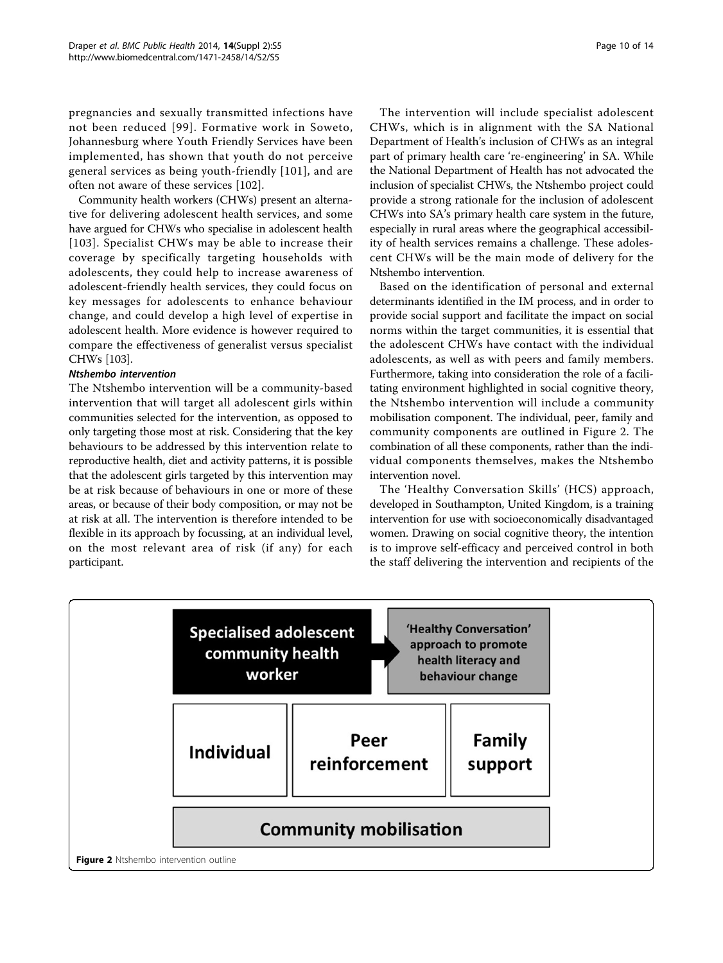pregnancies and sexually transmitted infections have not been reduced [[99](#page-13-0)]. Formative work in Soweto, Johannesburg where Youth Friendly Services have been implemented, has shown that youth do not perceive general services as being youth-friendly [[101\]](#page-13-0), and are often not aware of these services [\[102](#page-13-0)].

Community health workers (CHWs) present an alternative for delivering adolescent health services, and some have argued for CHWs who specialise in adolescent health [[103](#page-13-0)]. Specialist CHWs may be able to increase their coverage by specifically targeting households with adolescents, they could help to increase awareness of adolescent-friendly health services, they could focus on key messages for adolescents to enhance behaviour change, and could develop a high level of expertise in adolescent health. More evidence is however required to compare the effectiveness of generalist versus specialist CHWs [[103](#page-13-0)].

## Ntshembo intervention

The Ntshembo intervention will be a community-based intervention that will target all adolescent girls within communities selected for the intervention, as opposed to only targeting those most at risk. Considering that the key behaviours to be addressed by this intervention relate to reproductive health, diet and activity patterns, it is possible that the adolescent girls targeted by this intervention may be at risk because of behaviours in one or more of these areas, or because of their body composition, or may not be at risk at all. The intervention is therefore intended to be flexible in its approach by focussing, at an individual level, on the most relevant area of risk (if any) for each participant.

The intervention will include specialist adolescent CHWs, which is in alignment with the SA National Department of Health's inclusion of CHWs as an integral part of primary health care 're-engineering' in SA. While the National Department of Health has not advocated the inclusion of specialist CHWs, the Ntshembo project could provide a strong rationale for the inclusion of adolescent CHWs into SA's primary health care system in the future, especially in rural areas where the geographical accessibility of health services remains a challenge. These adolescent CHWs will be the main mode of delivery for the Ntshembo intervention.

Based on the identification of personal and external determinants identified in the IM process, and in order to provide social support and facilitate the impact on social norms within the target communities, it is essential that the adolescent CHWs have contact with the individual adolescents, as well as with peers and family members. Furthermore, taking into consideration the role of a facilitating environment highlighted in social cognitive theory, the Ntshembo intervention will include a community mobilisation component. The individual, peer, family and community components are outlined in Figure 2. The combination of all these components, rather than the individual components themselves, makes the Ntshembo intervention novel.

The 'Healthy Conversation Skills' (HCS) approach, developed in Southampton, United Kingdom, is a training intervention for use with socioeconomically disadvantaged women. Drawing on social cognitive theory, the intention is to improve self-efficacy and perceived control in both the staff delivering the intervention and recipients of the

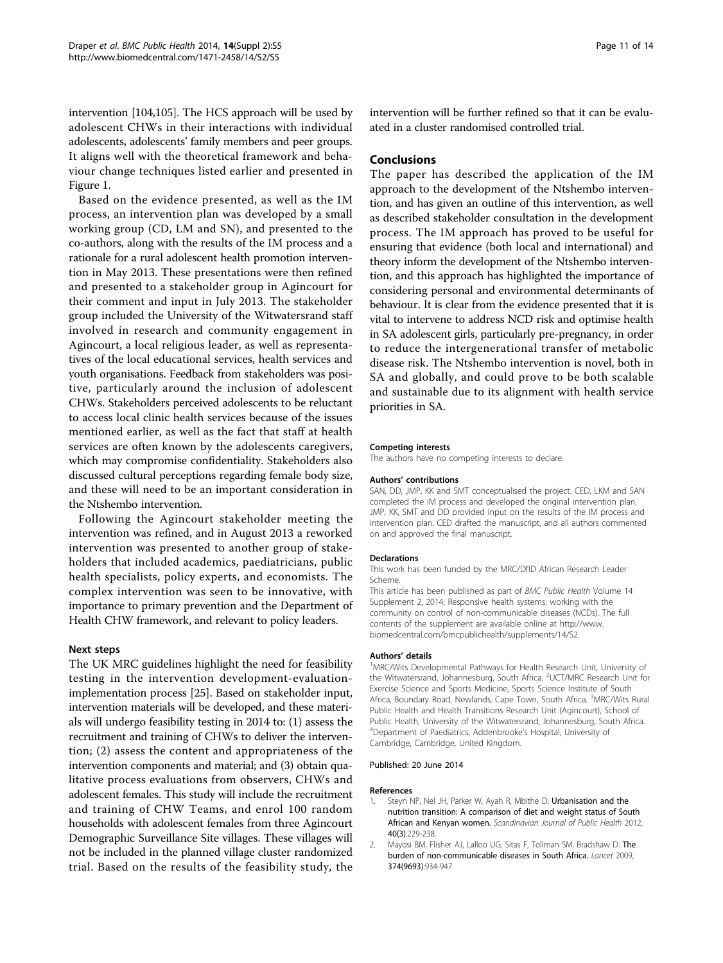<span id="page-10-0"></span>intervention [\[104,105](#page-13-0)]. The HCS approach will be used by adolescent CHWs in their interactions with individual adolescents, adolescents' family members and peer groups. It aligns well with the theoretical framework and behaviour change techniques listed earlier and presented in Figure [1](#page-8-0).

Based on the evidence presented, as well as the IM process, an intervention plan was developed by a small working group (CD, LM and SN), and presented to the co-authors, along with the results of the IM process and a rationale for a rural adolescent health promotion intervention in May 2013. These presentations were then refined and presented to a stakeholder group in Agincourt for their comment and input in July 2013. The stakeholder group included the University of the Witwatersrand staff involved in research and community engagement in Agincourt, a local religious leader, as well as representatives of the local educational services, health services and youth organisations. Feedback from stakeholders was positive, particularly around the inclusion of adolescent CHWs. Stakeholders perceived adolescents to be reluctant to access local clinic health services because of the issues mentioned earlier, as well as the fact that staff at health services are often known by the adolescents caregivers, which may compromise confidentiality. Stakeholders also discussed cultural perceptions regarding female body size, and these will need to be an important consideration in the Ntshembo intervention.

Following the Agincourt stakeholder meeting the intervention was refined, and in August 2013 a reworked intervention was presented to another group of stakeholders that included academics, paediatricians, public health specialists, policy experts, and economists. The complex intervention was seen to be innovative, with importance to primary prevention and the Department of Health CHW framework, and relevant to policy leaders.

### Next steps

The UK MRC guidelines highlight the need for feasibility testing in the intervention development-evaluationimplementation process [[25\]](#page-11-0). Based on stakeholder input, intervention materials will be developed, and these materials will undergo feasibility testing in 2014 to: (1) assess the recruitment and training of CHWs to deliver the intervention; (2) assess the content and appropriateness of the intervention components and material; and (3) obtain qualitative process evaluations from observers, CHWs and adolescent females. This study will include the recruitment and training of CHW Teams, and enrol 100 random households with adolescent females from three Agincourt Demographic Surveillance Site villages. These villages will not be included in the planned village cluster randomized trial. Based on the results of the feasibility study, the intervention will be further refined so that it can be evaluated in a cluster randomised controlled trial.

### Conclusions

The paper has described the application of the IM approach to the development of the Ntshembo intervention, and has given an outline of this intervention, as well as described stakeholder consultation in the development process. The IM approach has proved to be useful for ensuring that evidence (both local and international) and theory inform the development of the Ntshembo intervention, and this approach has highlighted the importance of considering personal and environmental determinants of behaviour. It is clear from the evidence presented that it is vital to intervene to address NCD risk and optimise health in SA adolescent girls, particularly pre-pregnancy, in order to reduce the intergenerational transfer of metabolic disease risk. The Ntshembo intervention is novel, both in SA and globally, and could prove to be both scalable and sustainable due to its alignment with health service priorities in SA.

#### Competing interests

The authors have no competing interests to declare.

#### Authors' contributions

SAN, DD, JMP, KK and SMT conceptualised the project. CED, LKM and SAN completed the IM process and developed the original intervention plan. JMP, KK, SMT and DD provided input on the results of the IM process and intervention plan. CED drafted the manuscript, and all authors commented on and approved the final manuscript.

#### Declarations

This work has been funded by the MRC/DfID African Research Leader Scheme.

This article has been published as part of BMC Public Health Volume 14 Supplement 2, 2014: Responsive health systems: working with the community on control of non-communicable diseases (NCDs). The full contents of the supplement are available online at [http://www.](http://www.biomedcentral.com/bmcpublichealth/supplements/14/S2) [biomedcentral.com/bmcpublichealth/supplements/14/S2](http://www.biomedcentral.com/bmcpublichealth/supplements/14/S2).

#### Authors' details <sup>1</sup>

<sup>1</sup>MRC/Wits Developmental Pathways for Health Research Unit, University of the Witwatersrand, Johannesburg, South Africa. <sup>2</sup>UCT/MRC Research Unit for Exercise Science and Sports Medicine, Sports Science Institute of South Africa, Boundary Road, Newlands, Cape Town, South Africa. <sup>3</sup>MRC/Wits Rural Public Health and Health Transitions Research Unit (Agincourt), School of Public Health, University of the Witwatersrand, Johannesburg, South Africa. 4 Department of Paediatrics, Addenbrooke's Hospital, University of Cambridge, Cambridge, United Kingdom.

#### Published: 20 June 2014

#### References

- 1. Steyn NP, Nel JH, Parker W, Ayah R, Mbithe D: Urbanisation and the nutrition transition: A comparison of diet and weight status of South African and Kenyan women. Scandinavian Journal of Public Health 2012, 40(3):229-238.
- 2. Mayosi BM, Flisher AJ, Lalloo UG, Sitas F, Tollman SM, Bradshaw D: The burden of non-communicable diseases in South Africa. Lancet 2009, 374(9693):934-947.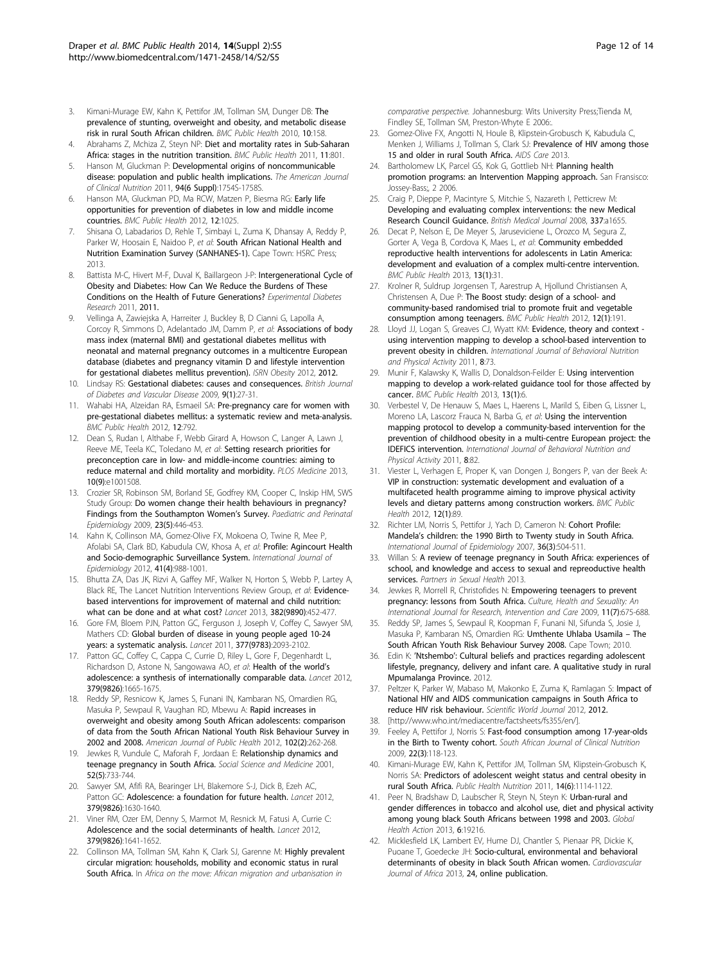- <span id="page-11-0"></span>3. Kimani-Murage EW, Kahn K, Pettifor JM, Tollman SM, Dunger DB: The prevalence of stunting, overweight and obesity, and metabolic disease risk in rural South African children. BMC Public Health 2010, 10:158.
- Abrahams Z, Mchiza Z, Steyn NP: Diet and mortality rates in Sub-Saharan Africa: stages in the nutrition transition. BMC Public Health 2011, 11:801.
- Hanson M, Gluckman P: Developmental origins of noncommunicable disease: population and public health implications. The American Journal of Clinical Nutrition 2011, 94(6 Suppl):1754S-1758S.
- Hanson MA, Gluckman PD, Ma RCW, Matzen P, Biesma RG: Early life opportunities for prevention of diabetes in low and middle income countries. BMC Public Health 2012, 12:1025.
- 7. Shisana O, Labadarios D, Rehle T, Simbayi L, Zuma K, Dhansay A, Reddy P, Parker W, Hoosain E, Naidoo P, et al: South African National Health and Nutrition Examination Survey (SANHANES-1). Cape Town: HSRC Press; 2013.
- Battista M-C, Hivert M-F, Duval K, Baillargeon J-P: Intergenerational Cycle of Obesity and Diabetes: How Can We Reduce the Burdens of These Conditions on the Health of Future Generations? Experimental Diabetes Research 2011, 2011.
- Vellinga A, Zawiejska A, Harreiter J, Buckley B, D Cianni G, Lapolla A, Corcoy R, Simmons D, Adelantado JM, Damm P, et al: Associations of body mass index (maternal BMI) and gestational diabetes mellitus with neonatal and maternal pregnancy outcomes in a multicentre European database (diabetes and pregnancy vitamin D and lifestyle intervention for gestational diabetes mellitus prevention). ISRN Obesity 2012, 2012.
- 10. Lindsay RS: Gestational diabetes: causes and consequences. British Journal of Diabetes and Vascular Disease 2009, 9(1):27-31.
- 11. Wahabi HA, Alzeidan RA, Esmaeil SA: Pre-pregnancy care for women with pre-gestational diabetes mellitus: a systematic review and meta-analysis. BMC Public Health 2012, 12:792.
- 12. Dean S, Rudan I, Althabe F, Webb Girard A, Howson C, Langer A, Lawn J, Reeve ME, Teela KC, Toledano M, et al: Setting research priorities for preconception care in low- and middle-income countries: aiming to reduce maternal and child mortality and morbidity. PLOS Medicine 2013, 10(9):e1001508.
- 13. Crozier SR, Robinson SM, Borland SE, Godfrey KM, Cooper C, Inskip HM, SWS Study Group: Do women change their health behaviours in pregnancy? Findings from the Southampton Women's Survey. Paediatric and Perinatal Epidemiology 2009, 23(5):446-453.
- 14. Kahn K, Collinson MA, Gomez-Olive FX, Mokoena O, Twine R, Mee P, Afolabi SA, Clark BD, Kabudula CW, Khosa A, et al: Profile: Agincourt Health and Socio-demographic Surveillance System. International Journal of Epidemiology 2012, 41(4):988-1001.
- 15. Bhutta ZA, Das JK, Rizvi A, Gaffey MF, Walker N, Horton S, Webb P, Lartey A, Black RE, The Lancet Nutrition Interventions Review Group, et al: Evidencebased interventions for improvement of maternal and child nutrition: what can be done and at what cost? Lancet 2013, 382(9890):452-477.
- 16. Gore FM, Bloem PJN, Patton GC, Ferguson J, Joseph V, Coffey C, Sawyer SM, Mathers CD: Global burden of disease in young people aged 10-24 years: a systematic analysis. Lancet 2011, 377(9783):2093-2102.
- 17. Patton GC, Coffey C, Cappa C, Currie D, Riley L, Gore F, Degenhardt L, Richardson D, Astone N, Sangowawa AO, et al: Health of the world's adolescence: a synthesis of internationally comparable data. Lancet 2012, 379(9826):1665-1675.
- 18. Reddy SP, Resnicow K, James S, Funani IN, Kambaran NS, Omardien RG, Masuka P, Sewpaul R, Vaughan RD, Mbewu A: Rapid increases in overweight and obesity among South African adolescents: comparison of data from the South African National Youth Risk Behaviour Survey in 2002 and 2008. American Journal of Public Health 2012, 102(2):262-268.
- 19. Jewkes R, Vundule C, Maforah F, Jordaan E: Relationship dynamics and teenage pregnancy in South Africa. Social Science and Medicine 2001, 52(5):733-744.
- 20. Sawyer SM, Afifi RA, Bearinger LH, Blakemore S-J, Dick B, Ezeh AC, Patton GC: Adolescence: a foundation for future health. Lancet 2012, 379(9826):1630-1640.
- 21. Viner RM, Ozer EM, Denny S, Marmot M, Resnick M, Fatusi A, Currie C: Adolescence and the social determinants of health. Lancet 2012, 379(9826):1641-1652.
- 22. Collinson MA, Tollman SM, Kahn K, Clark SJ, Garenne M: Highly prevalent circular migration: households, mobility and economic status in rural South Africa. In Africa on the move: African migration and urbanisation in

comparative perspective. Johannesburg: Wits University Press;Tienda M, Findley SE, Tollman SM, Preston-Whyte E 2006:.

- 23. Gomez-Olive FX, Angotti N, Houle B, Klipstein-Grobusch K, Kabudula C, Menken J, Williams J, Tollman S, Clark SJ: Prevalence of HIV among those 15 and older in rural South Africa. AIDS Care 2013.
- 24. Bartholomew LK, Parcel GS, Kok G, Gottlieb NH: Planning health promotion programs: an Intervention Mapping approach. San Fransisco: Jossey-Bass;, 2 2006.
- 25. Craig P, Dieppe P, Macintyre S, Mitchie S, Nazareth I, Petticrew M: Developing and evaluating complex interventions: the new Medical Research Council Guidance. British Medical Journal 2008, 337:a1655.
- 26. Decat P, Nelson E, De Meyer S, Jaruseviciene L, Orozco M, Segura Z, Gorter A, Vega B, Cordova K, Maes L, et al: Community embedded reproductive health interventions for adolescents in Latin America: development and evaluation of a complex multi-centre intervention. BMC Public Health 2013, 13(1):31.
- 27. Krolner R, Suldrup Jorgensen T, Aarestrup A, Hjollund Christiansen A, Christensen A, Due P: The Boost study: design of a school- and community-based randomised trial to promote fruit and vegetable consumption among teenagers. BMC Public Health 2012, 12(1):191.
- 28. Lloyd JJ, Logan S, Greaves CJ, Wyatt KM: Evidence, theory and context using intervention mapping to develop a school-based intervention to prevent obesity in children. International Journal of Behavioral Nutrition and Physical Activity 2011, 8:73.
- 29. Munir F, Kalawsky K, Wallis D, Donaldson-Feilder E: Using intervention mapping to develop a work-related guidance tool for those affected by cancer. BMC Public Health 2013, 13(1):6.
- 30. Verbestel V, De Henauw S, Maes L, Haerens L, Marild S, Eiben G, Lissner L, Moreno LA, Lascorz Frauca N, Barba G, et al: Using the intervention mapping protocol to develop a community-based intervention for the prevention of childhood obesity in a multi-centre European project: the IDEFICS intervention. International Journal of Behavioral Nutrition and Physical Activity 2011, 8:82.
- 31. Viester L, Verhagen E, Proper K, van Dongen J, Bongers P, van der Beek A: VIP in construction: systematic development and evaluation of a multifaceted health programme aiming to improve physical activity levels and dietary patterns among construction workers. BMC Public Health 2012, 12(1):89.
- 32. Richter LM, Norris S, Pettifor J, Yach D, Cameron N: Cohort Profile: Mandela's children: the 1990 Birth to Twenty study in South Africa. International Journal of Epidemiology 2007, 36(3):504-511.
- 33. Willan S: A review of teenage pregnancy in South Africa: experiences of school, and knowledge and access to sexual and repreoductive health services. Partners in Sexual Health 2013.
- 34. Jewkes R, Morrell R, Christofides N: Empowering teenagers to prevent pregnancy: lessons from South Africa. Culture, Health and Sexuality: An International Journal for Research, Intervention and Care 2009, 11(7):675-688.
- 35. Reddy SP, James S, Sewpaul R, Koopman F, Funani NI, Sifunda S, Josie J, Masuka P, Kambaran NS, Omardien RG: Umthente Uhlaba Usamila – The South African Youth Risk Behaviour Survey 2008. Cape Town; 2010.
- 36. Edin K: 'Ntshembo': Cultural beliefs and practices regarding adolescent lifestyle, pregnancy, delivery and infant care. A qualitative study in rural Mpumalanga Province. 2012.
- 37. Peltzer K, Parker W, Mabaso M, Makonko E, Zuma K, Ramlagan S: Impact of National HIV and AIDS communication campaigns in South Africa to reduce HIV risk behaviour. Scientific World Journal 2012, 2012.
- 38. [[http://www.who.int/mediacentre/factsheets/fs355/en/\]](http://www.who.int/mediacentre/factsheets/fs355/en/).
- 39. Feeley A, Pettifor J, Norris S: Fast-food consumption among 17-year-olds in the Birth to Twenty cohort. South African Journal of Clinical Nutrition 2009, 22(3):118-123.
- 40. Kimani-Murage EW, Kahn K, Pettifor JM, Tollman SM, Klipstein-Grobusch K, Norris SA: Predictors of adolescent weight status and central obesity in rural South Africa. Public Health Nutrition 2011, 14(6):1114-1122.
- 41. Peer N, Bradshaw D, Laubscher R, Steyn N, Steyn K: Urban-rural and gender differences in tobacco and alcohol use, diet and physical activity among young black South Africans between 1998 and 2003. Global Health Action 2013, 6:19216.
- 42. Micklesfield LK, Lambert EV, Hume DJ, Chantler S, Pienaar PR, Dickie K, Puoane T, Goedecke JH: Socio-cultural, environmental and behavioral determinants of obesity in black South African women. Cardiovascular Journal of Africa 2013, 24, online publication.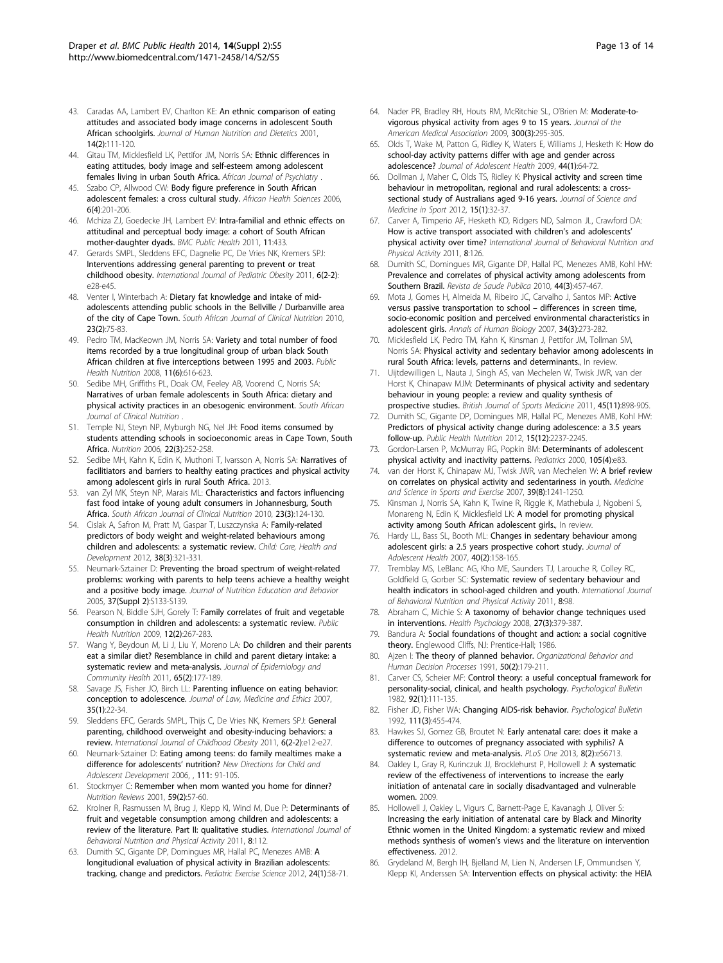- <span id="page-12-0"></span>43. Caradas AA, Lambert EV, Charlton KE: An ethnic comparison of eating attitudes and associated body image concerns in adolescent South African schoolgirls. Journal of Human Nutrition and Dietetics 2001, 14(2):111-120.
- 44. Gitau TM, Micklesfield LK, Pettifor JM, Norris SA: Ethnic differences in eating attitudes, body image and self-esteem among adolescent females living in urban South Africa. African Journal of Psychiatry .
- 45. Szabo CP, Allwood CW: Body figure preference in South African adolescent females: a cross cultural study. African Health Sciences 2006, 6(4):201-206.
- 46. Mchiza ZJ, Goedecke JH, Lambert EV: Intra-familial and ethnic effects on attitudinal and perceptual body image: a cohort of South African mother-daughter dyads. BMC Public Health 2011, 11:433.
- 47. Gerards SMPL, Sleddens EFC, Dagnelie PC, De Vries NK, Kremers SPJ: Interventions addressing general parenting to prevent or treat childhood obesity. International Journal of Pediatric Obesity 2011, 6(2-2): e28-e45.
- 48. Venter I, Winterbach A: Dietary fat knowledge and intake of midadolescents attending public schools in the Bellville / Durbanville area of the city of Cape Town. South African Journal of Clinical Nutrition 2010, 23(2):75-83.
- 49. Pedro TM, MacKeown JM, Norris SA: Variety and total number of food items recorded by a true longitudinal group of urban black South African children at five interceptions between 1995 and 2003. Public Health Nutrition 2008, 11(6):616-623.
- 50. Sedibe MH, Griffiths PL, Doak CM, Feeley AB, Voorend C, Norris SA: Narratives of urban female adolescents in South Africa: dietary and physical activity practices in an obesogenic environment. South African Journal of Clinical Nutrition
- 51. Temple NJ, Steyn NP, Myburgh NG, Nel JH: Food items consumed by students attending schools in socioeconomic areas in Cape Town, South Africa. Nutrition 2006, 22(3):252-258.
- 52. Sedibe MH, Kahn K, Edin K, Muthoni T, Ivarsson A, Norris SA: Narratives of facilitiators and barriers to healthy eating practices and physical activity among adolescent girls in rural South Africa. 2013.
- 53. van Zyl MK, Steyn NP, Marais ML: Characteristics and factors influencing fast food intake of young adult consumers in Johannesburg, South Africa. South African Journal of Clinical Nutrition 2010, 23(3):124-130.
- 54. Cislak A, Safron M, Pratt M, Gaspar T, Luszczynska A: Family-related predictors of body weight and weight-related behaviours among children and adolescents: a systematic review. Child: Care, Health and Development 2012, 38(3):321-331.
- 55. Neumark-Sztainer D: Preventing the broad spectrum of weight-related problems: working with parents to help teens achieve a healthy weight and a positive body image. Journal of Nutrition Education and Behavior 2005, 37(Suppl 2):S133-S139.
- 56. Pearson N, Biddle SJH, Gorely T: Family correlates of fruit and vegetable consumption in children and adolescents: a systematic review. Public Health Nutrition 2009, 12(2):267-283.
- 57. Wang Y, Beydoun M, Li J, Liu Y, Moreno LA: Do children and their parents eat a similar diet? Resemblance in child and parent dietary intake: a systematic review and meta-analysis. Journal of Epidemiology and Community Health 2011, 65(2):177-189.
- 58. Savage JS, Fisher JO, Birch LL: Parenting influence on eating behavior: conception to adolescence. Journal of Law, Medicine and Ethics 2007, 35(1):22-34.
- 59. Sleddens EFC, Gerards SMPL, Thijs C, De Vries NK, Kremers SPJ: General parenting, childhood overweight and obesity-inducing behaviors: a review. International Journal of Childhood Obesity 2011, 6(2-2):e12-e27.
- 60. Neumark-Sztainer D: Eating among teens: do family mealtimes make a difference for adolescents' nutrition? New Directions for Child and Adolescent Development 2006, , 111: 91-105.
- 61. Stockmyer C: Remember when mom wanted you home for dinner? Nutrition Reviews 2001, 59(2):57-60.
- 62. Krolner R, Rasmussen M, Brug J, Klepp KI, Wind M, Due P: Determinants of fruit and vegetable consumption among children and adolescents: a review of the literature. Part II: qualitative studies. International Journal of Behavioral Nutrition and Physical Activity 2011, 8:112.
- 63. Dumith SC, Gigante DP, Domingues MR, Hallal PC, Menezes AMB: A longitudional evaluation of physical activity in Brazilian adolescents: tracking, change and predictors. Pediatric Exercise Science 2012, 24(1):58-71.
- 
- 64. Nader PR, Bradley RH, Houts RM, McRitchie SL, O'Brien M: Moderate-tovigorous physical activity from ages 9 to 15 years. Journal of the American Medical Association 2009, 300(3):295-305.
- 65. Olds T, Wake M, Patton G, Ridley K, Waters E, Williams J, Hesketh K: How do school-day activity patterns differ with age and gender across adolescence? Journal of Adolescent Health 2009, 44(1):64-72.
- 66. Dollman J, Maher C, Olds TS, Ridley K: Physical activity and screen time behaviour in metropolitan, regional and rural adolescents: a crosssectional study of Australians aged 9-16 years. Journal of Science and Medicine in Sport 2012, 15(1):32-37.
- 67. Carver A, Timperio AF, Hesketh KD, Ridgers ND, Salmon JL, Crawford DA: How is active transport associated with children's and adolescents' physical activity over time? International Journal of Behavioral Nutrition and Physical Activity 2011, 8:126.
- 68. Dumith SC, Domingues MR, Gigante DP, Hallal PC, Menezes AMB, Kohl HW: Prevalence and correlates of physical activity among adolescents from Southern Brazil. Revista de Saude Publica 2010, 44(3):457-467.
- 69. Mota J, Gomes H, Almeida M, Ribeiro JC, Carvalho J, Santos MP: Active versus passive transportation to school – differences in screen time, socio-economic position and perceived environmental characteristics in adolescent girls. Annals of Human Biology 2007, 34(3):273-282.
- 70. Micklesfield LK, Pedro TM, Kahn K, Kinsman J, Pettifor JM, Tollman SM, Norris SA: Physical activity and sedentary behavior among adolescents in rural South Africa: levels, patterns and determinants., In review.
- 71. Uijtdewilligen L, Nauta J, Singh AS, van Mechelen W, Twisk JWR, van der Horst K, Chinapaw MJM: Determinants of physical activity and sedentary behaviour in young people: a review and quality synthesis of prospective studies. British Journal of Sports Medicine 2011, 45(11):898-905.
- Dumith SC, Gigante DP, Domingues MR, Hallal PC, Menezes AMB, Kohl HW: Predictors of physical activity change during adolescence: a 3.5 years follow-up. Public Health Nutrition 2012, 15(12):2237-2245.
- 73. Gordon-Larsen P, McMurray RG, Popkin BM: Determinants of adolescent physical activity and inactivity patterns. Pediatrics 2000, 105(4):e83.
- 74. van der Horst K, Chinapaw MJ, Twisk JWR, van Mechelen W: A brief review on correlates on physical activity and sedentariness in youth. Medicine and Science in Sports and Exercise 2007, 39(8):1241-1250.
- 75. Kinsman J, Norris SA, Kahn K, Twine R, Riggle K, Mathebula J, Ngobeni S, Monareng N, Edin K, Micklesfield LK: A model for promoting physical activity among South African adolescent girls., In review.
- 76. Hardy LL, Bass SL, Booth ML: Changes in sedentary behaviour among adolescent girls: a 2.5 years prospective cohort study. Journal of Adolescent Health 2007, 40(2):158-165.
- 77. Tremblay MS, LeBlanc AG, Kho ME, Saunders TJ, Larouche R, Colley RC, Goldfield G, Gorber SC: Systematic review of sedentary behaviour and health indicators in school-aged children and youth. International Journal of Behavioral Nutrition and Physical Activity 2011, 8:98.
- Abraham C, Michie S: A taxonomy of behavior change techniques used in interventions. Health Psychology 2008, 27(3):379-387.
- 79. Bandura A: Social foundations of thought and action: a social cognitive theory. Englewood Cliffs, NJ: Prentice-Hall; 1986.
- 80. Ajzen I: The theory of planned behavior. Organizational Behavior and Human Decision Processes 1991, 50(2):179-211.
- 81. Carver CS, Scheier MF: Control theory: a useful conceptual framework for personality-social, clinical, and health psychology. Psychological Bulletin 1982, 92(1):111-135.
- 82. Fisher JD, Fisher WA: Changing AIDS-risk behavior. Psychological Bulletin 1992, 111(3):455-474.
- Hawkes SJ, Gomez GB, Broutet N: Early antenatal care: does it make a difference to outcomes of pregnancy associated with syphilis? A systematic review and meta-analysis. PLoS One 2013, 8(2):e56713.
- 84. Oakley L, Gray R, Kurinczuk JJ, Brocklehurst P, Hollowell J: A systematic review of the effectiveness of interventions to increase the early initiation of antenatal care in socially disadvantaged and vulnerable women. 2009.
- 85. Hollowell J, Oakley L, Vigurs C, Barnett-Page E, Kavanagh J, Oliver S: Increasing the early initiation of antenatal care by Black and Minority Ethnic women in the United Kingdom: a systematic review and mixed methods synthesis of women's views and the literature on intervention effectiveness. 2012.
- 86. Grydeland M, Bergh IH, Bjelland M, Lien N, Andersen LF, Ommundsen Y, Klepp KI, Anderssen SA: Intervention effects on physical activity: the HEIA